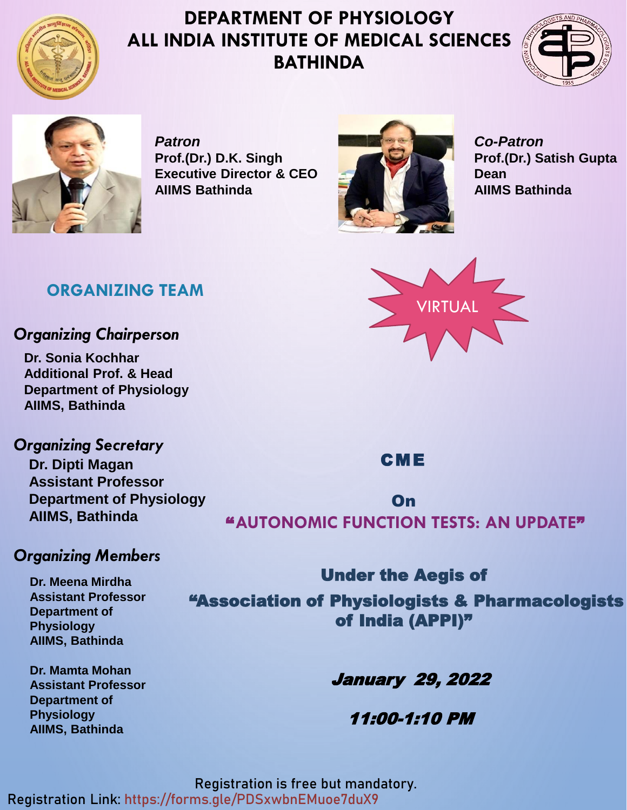

### **DEPARTMENT OF PHYSIOLOGY ALL INDIA INSTITUTE OF MEDICAL SCIENCES BATHINDA**





*Patron* **Prof.(Dr.) D.K. Singh Executive Director & CEO AIIMS Bathinda**



*Co-Patron* **Prof.(Dr.) Satish Gupta Dean AIIMS Bathinda**



#### *Organizing Chairperson*

**Dr. Sonia Kochhar Additional Prof. & Head Department of Physiology AIIMS, Bathinda**

*Organizing Secretary* **Dr. Dipti Magan Assistant Professor Department of Physiology AIIMS, Bathinda**

#### *Organizing Members*

**Dr. Meena Mirdha Assistant Professor Department of Physiology AIIMS, Bathinda**

**Dr. Mamta Mohan Assistant Professor Department of Physiology AIIMS, Bathinda**



VIRTUAL

CME

On " **AUTONOMIC FUNCTION TESTS: AN UPDATE**"

Under the Aegis of "Association of Physiologists & Pharmacologists of India (APPI)"

January 29, 2022

11:00-1:10 PM

**Registration is free but mandatory. Registration Link: https://forms.gle/PDSxwbnEMuoe7duX9**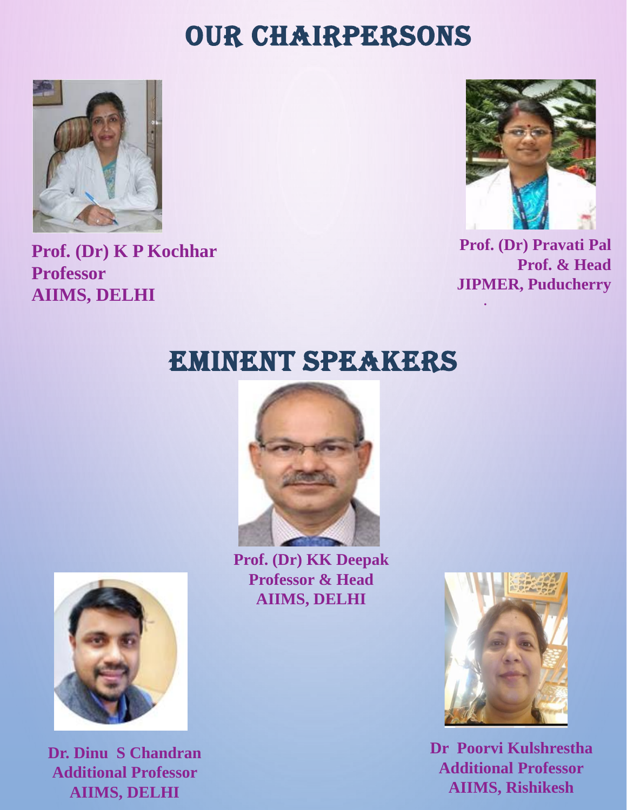## OUR CHAIRPERSONS



**Prof. (Dr) K P Kochhar Professor AIIMS, DELHI**



**Prof. (Dr) Pravati Pal Prof. & Head JIPMER, Puducherry**

**.**

## EMINENT SPEAKERS



**Prof. (Dr) KK Deepak Professor & Head AIIMS, DELHI**



**Dr. Dinu S Chandran Additional Professor AIIMS, DELHI**



**Dr Poorvi Kulshrestha Additional Professor AIIMS, Rishikesh**